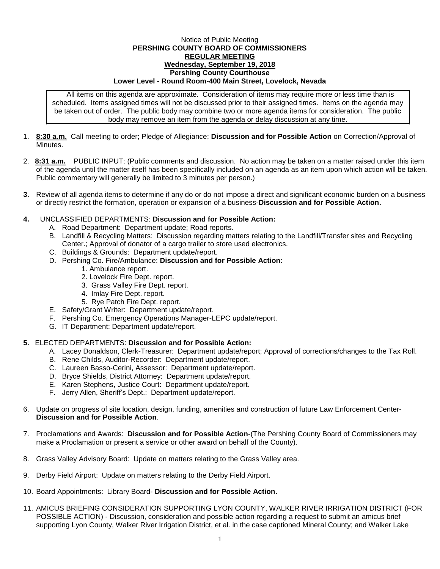## Notice of Public Meeting **PERSHING COUNTY BOARD OF COMMISSIONERS REGULAR MEETING Wednesday, September 19, 2018 Pershing County Courthouse Lower Level - Round Room-400 Main Street, Lovelock, Nevada**

All items on this agenda are approximate. Consideration of items may require more or less time than is scheduled. Items assigned times will not be discussed prior to their assigned times. Items on the agenda may be taken out of order. The public body may combine two or more agenda items for consideration. The public body may remove an item from the agenda or delay discussion at any time.

- 1. **8:30 a.m.** Call meeting to order; Pledge of Allegiance; **Discussion and for Possible Action** on Correction/Approval of **Minutes**
- 2. **8:31 a.m.** PUBLIC INPUT: (Public comments and discussion. No action may be taken on a matter raised under this item of the agenda until the matter itself has been specifically included on an agenda as an item upon which action will be taken. Public commentary will generally be limited to 3 minutes per person.)
- **3.** Review of all agenda items to determine if any do or do not impose a direct and significant economic burden on a business or directly restrict the formation, operation or expansion of a business-**Discussion and for Possible Action.**
- **4.** UNCLASSIFIED DEPARTMENTS: **Discussion and for Possible Action:**
	- A. Road Department: Department update; Road reports.
	- B. Landfill & Recycling Matters: Discussion regarding matters relating to the Landfill/Transfer sites and Recycling Center.; Approval of donator of a cargo trailer to store used electronics.
	- C. Buildings & Grounds: Department update/report.
	- D. Pershing Co. Fire/Ambulance: **Discussion and for Possible Action:**
		- 1. Ambulance report.
			- 2. Lovelock Fire Dept. report.
			- 3. Grass Valley Fire Dept. report.
			- 4. Imlay Fire Dept. report.
		- 5. Rye Patch Fire Dept. report.
	- E. Safety/Grant Writer: Department update/report.
	- F. Pershing Co. Emergency Operations Manager-LEPC update/report.
	- G. IT Department: Department update/report.

## **5.** ELECTED DEPARTMENTS: **Discussion and for Possible Action:**

- A. Lacey Donaldson, Clerk-Treasurer: Department update/report; Approval of corrections/changes to the Tax Roll.
- B. Rene Childs, Auditor-Recorder: Department update/report.
- C. Laureen Basso-Cerini, Assessor: Department update/report.
- D. Bryce Shields, District Attorney: Department update/report.
- E. Karen Stephens, Justice Court: Department update/report.
- F. Jerry Allen, Sheriff's Dept.: Department update/report.
- 6. Update on progress of site location, design, funding, amenities and construction of future Law Enforcement Center-**Discussion and for Possible Action**.
- 7. Proclamations and Awards: **Discussion and for Possible Action**-(The Pershing County Board of Commissioners may make a Proclamation or present a service or other award on behalf of the County).
- 8. Grass Valley Advisory Board: Update on matters relating to the Grass Valley area.
- 9. Derby Field Airport: Update on matters relating to the Derby Field Airport.
- 10. Board Appointments: Library Board- **Discussion and for Possible Action.**
- 11. AMICUS BRIEFING CONSIDERATION SUPPORTING LYON COUNTY, WALKER RIVER IRRIGATION DISTRICT (FOR POSSIBLE ACTION) - Discussion, consideration and possible action regarding a request to submit an amicus brief supporting Lyon County, Walker River Irrigation District, et al. in the case captioned Mineral County; and Walker Lake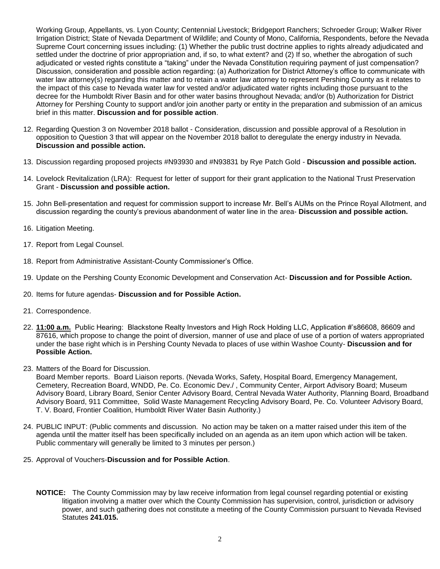Working Group, Appellants, vs. Lyon County; Centennial Livestock; Bridgeport Ranchers; Schroeder Group; Walker River Irrigation District; State of Nevada Department of Wildlife; and County of Mono, California, Respondents, before the Nevada Supreme Court concerning issues including: (1) Whether the public trust doctrine applies to rights already adjudicated and settled under the doctrine of prior appropriation and, if so, to what extent? and (2) If so, whether the abrogation of such adjudicated or vested rights constitute a "taking" under the Nevada Constitution requiring payment of just compensation? Discussion, consideration and possible action regarding: (a) Authorization for District Attorney's office to communicate with water law attorney(s) regarding this matter and to retain a water law attorney to represent Pershing County as it relates to the impact of this case to Nevada water law for vested and/or adjudicated water rights including those pursuant to the decree for the Humboldt River Basin and for other water basins throughout Nevada; and/or (b) Authorization for District Attorney for Pershing County to support and/or join another party or entity in the preparation and submission of an amicus brief in this matter. **Discussion and for possible action**.

- 12. Regarding Question 3 on November 2018 ballot Consideration, discussion and possible approval of a Resolution in opposition to Question 3 that will appear on the November 2018 ballot to deregulate the energy industry in Nevada. **Discussion and possible action.**
- 13. Discussion regarding proposed projects #N93930 and #N93831 by Rye Patch Gold **Discussion and possible action.**
- 14. Lovelock Revitalization (LRA): Request for letter of support for their grant application to the National Trust Preservation Grant - **Discussion and possible action.**
- 15. John Bell-presentation and request for commission support to increase Mr. Bell's AUMs on the Prince Royal Allotment, and discussion regarding the county's previous abandonment of water line in the area- **Discussion and possible action.**
- 16. Litigation Meeting.
- 17. Report from Legal Counsel.
- 18. Report from Administrative Assistant-County Commissioner's Office.
- 19. Update on the Pershing County Economic Development and Conservation Act- **Discussion and for Possible Action.**
- 20. Items for future agendas- **Discussion and for Possible Action.**
- 21. Correspondence.
- 22. **11:00 a.m.** Public Hearing: Blackstone Realty Investors and High Rock Holding LLC, Application #'s86608, 86609 and 87616, which propose to change the point of diversion, manner of use and place of use of a portion of waters appropriated under the base right which is in Pershing County Nevada to places of use within Washoe County- **Discussion and for Possible Action.**
- 23. Matters of the Board for Discussion.

Board Member reports. Board Liaison reports. (Nevada Works, Safety, Hospital Board, Emergency Management, Cemetery, Recreation Board, WNDD, Pe. Co. Economic Dev./ , Community Center, Airport Advisory Board; Museum Advisory Board, Library Board, Senior Center Advisory Board, Central Nevada Water Authority, Planning Board, Broadband Advisory Board, 911 Committee, Solid Waste Management Recycling Advisory Board, Pe. Co. Volunteer Advisory Board, T. V. Board, Frontier Coalition, Humboldt River Water Basin Authority.)

- 24. PUBLIC INPUT: (Public comments and discussion. No action may be taken on a matter raised under this item of the agenda until the matter itself has been specifically included on an agenda as an item upon which action will be taken. Public commentary will generally be limited to 3 minutes per person.)
- 25. Approval of Vouchers-**Discussion and for Possible Action**.
	- **NOTICE:** The County Commission may by law receive information from legal counsel regarding potential or existing litigation involving a matter over which the County Commission has supervision, control, jurisdiction or advisory power, and such gathering does not constitute a meeting of the County Commission pursuant to Nevada Revised Statutes **241.015.**